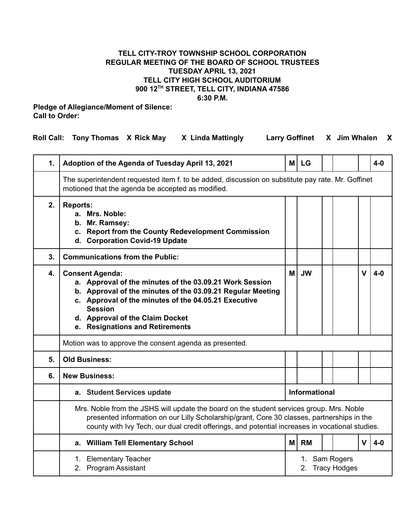## **TELL CITY-TROY TOWNSHIP SCHOOL CORPORATION REGULAR MEETING OF THE BOARD OF SCHOOL TRUSTEES TUESDAY APRIL 13, 2021 TELL CITY HIGH SCHOOL AUDITORIUM 900 12 TH STREET, TELL CITY, INDIANA 47586 6:30 P.M.**

## **Pledge of Allegiance/Moment of Silence: Call to Order:**

| Roll Call: Tony Thomas X Rick May<br>Larry Goffinet X Jim Whalen X<br>X Linda Mattingly |  |  |
|-----------------------------------------------------------------------------------------|--|--|
|-----------------------------------------------------------------------------------------|--|--|

| 1. | Adoption of the Agenda of Tuesday April 13, 2021                                                                                                                                                                                                                                                | МI                               | <b>LG</b> |  |  |              | 4-0   |  |  |  |  |
|----|-------------------------------------------------------------------------------------------------------------------------------------------------------------------------------------------------------------------------------------------------------------------------------------------------|----------------------------------|-----------|--|--|--------------|-------|--|--|--|--|
|    | The superintendent requested item f. to be added, discussion on substitute pay rate. Mr. Goffinet<br>motioned that the agenda be accepted as modified.                                                                                                                                          |                                  |           |  |  |              |       |  |  |  |  |
| 2. | <b>Reports:</b><br>a. Mrs. Noble:<br>b. Mr. Ramsey:<br>c. Report from the County Redevelopment Commission<br>d. Corporation Covid-19 Update                                                                                                                                                     |                                  |           |  |  |              |       |  |  |  |  |
| 3. | <b>Communications from the Public:</b>                                                                                                                                                                                                                                                          |                                  |           |  |  |              |       |  |  |  |  |
| 4. | <b>Consent Agenda:</b><br>a. Approval of the minutes of the 03.09.21 Work Session<br>b. Approval of the minutes of the 03.09.21 Regular Meeting<br>c. Approval of the minutes of the 04.05.21 Executive<br><b>Session</b><br>d. Approval of the Claim Docket<br>e. Resignations and Retirements | мI                               | <b>JW</b> |  |  | $\mathbf{V}$ | $4-0$ |  |  |  |  |
|    | Motion was to approve the consent agenda as presented.                                                                                                                                                                                                                                          |                                  |           |  |  |              |       |  |  |  |  |
| 5. | <b>Old Business:</b>                                                                                                                                                                                                                                                                            |                                  |           |  |  |              |       |  |  |  |  |
| 6. | <b>New Business:</b>                                                                                                                                                                                                                                                                            |                                  |           |  |  |              |       |  |  |  |  |
|    | a. Student Services update                                                                                                                                                                                                                                                                      | <b>Informational</b>             |           |  |  |              |       |  |  |  |  |
|    | Mrs. Noble from the JSHS will update the board on the student services group. Mrs. Noble<br>presented information on our Lilly Scholarship/grant, Core 30 classes, partnerships in the<br>county with Ivy Tech, our dual credit offerings, and potential increases in vocational studies.       |                                  |           |  |  |              |       |  |  |  |  |
|    | a. William Tell Elementary School                                                                                                                                                                                                                                                               | M l                              | <b>RM</b> |  |  | $\mathbf{V}$ | $4-0$ |  |  |  |  |
|    | 1. Elementary Teacher<br>2. Program Assistant                                                                                                                                                                                                                                                   | 1. Sam Rogers<br>2. Tracy Hodges |           |  |  |              |       |  |  |  |  |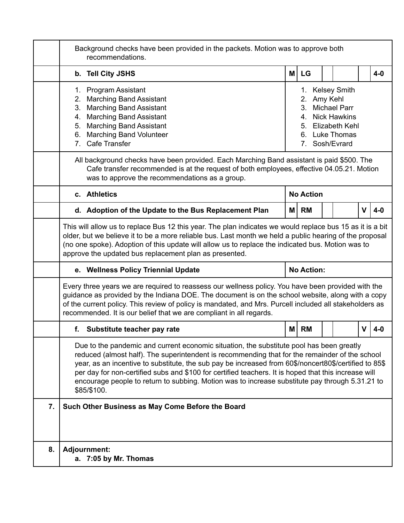|    | Background checks have been provided in the packets. Motion was to approve both<br>recommendations.                                                                                                                                                                                                                                                                                                                                                                                                                           |                                                                                                                                                         |           |  |  |   |       |  |  |  |  |
|----|-------------------------------------------------------------------------------------------------------------------------------------------------------------------------------------------------------------------------------------------------------------------------------------------------------------------------------------------------------------------------------------------------------------------------------------------------------------------------------------------------------------------------------|---------------------------------------------------------------------------------------------------------------------------------------------------------|-----------|--|--|---|-------|--|--|--|--|
|    | b. Tell City JSHS                                                                                                                                                                                                                                                                                                                                                                                                                                                                                                             | M                                                                                                                                                       | LG        |  |  |   | $4-0$ |  |  |  |  |
|    | 1. Program Assistant<br>2. Marching Band Assistant<br>3. Marching Band Assistant<br>4. Marching Band Assistant<br>5. Marching Band Assistant<br>6. Marching Band Volunteer<br>7. Cafe Transfer                                                                                                                                                                                                                                                                                                                                | <b>Kelsey Smith</b><br>1.<br>Amy Kehl<br>2.<br><b>Michael Parr</b><br>3.<br>4. Nick Hawkins<br>5. Elizabeth Kehl<br>6. Luke Thomas<br>Sosh/Evrard<br>7. |           |  |  |   |       |  |  |  |  |
|    | All background checks have been provided. Each Marching Band assistant is paid \$500. The<br>Cafe transfer recommended is at the request of both employees, effective 04.05.21. Motion<br>was to approve the recommendations as a group.                                                                                                                                                                                                                                                                                      |                                                                                                                                                         |           |  |  |   |       |  |  |  |  |
|    | c. Athletics                                                                                                                                                                                                                                                                                                                                                                                                                                                                                                                  | <b>No Action</b>                                                                                                                                        |           |  |  |   |       |  |  |  |  |
|    | d. Adoption of the Update to the Bus Replacement Plan                                                                                                                                                                                                                                                                                                                                                                                                                                                                         | M                                                                                                                                                       | RM        |  |  | v | $4-0$ |  |  |  |  |
|    | This will allow us to replace Bus 12 this year. The plan indicates we would replace bus 15 as it is a bit<br>older, but we believe it to be a more reliable bus. Last month we held a public hearing of the proposal<br>(no one spoke). Adoption of this update will allow us to replace the indicated bus. Motion was to<br>approve the updated bus replacement plan as presented.                                                                                                                                           |                                                                                                                                                         |           |  |  |   |       |  |  |  |  |
|    | e. Wellness Policy Triennial Update                                                                                                                                                                                                                                                                                                                                                                                                                                                                                           | <b>No Action:</b>                                                                                                                                       |           |  |  |   |       |  |  |  |  |
|    | Every three years we are required to reassess our wellness policy. You have been provided with the<br>guidance as provided by the Indiana DOE. The document is on the school website, along with a copy<br>of the current policy. This review of policy is mandated, and Mrs. Purcell included all stakeholders as<br>recommended. It is our belief that we are compliant in all regards.                                                                                                                                     |                                                                                                                                                         |           |  |  |   |       |  |  |  |  |
|    | f. Substitute teacher pay rate                                                                                                                                                                                                                                                                                                                                                                                                                                                                                                | M                                                                                                                                                       | <b>RM</b> |  |  | V | 4-0   |  |  |  |  |
|    | Due to the pandemic and current economic situation, the substitute pool has been greatly<br>reduced (almost half). The superintendent is recommending that for the remainder of the school<br>year, as an incentive to substitute, the sub pay be increased from 60\$/noncert80\$/certified to 85\$<br>per day for non-certified subs and \$100 for certified teachers. It is hoped that this increase will<br>encourage people to return to subbing. Motion was to increase substitute pay through 5.31.21 to<br>\$85/\$100. |                                                                                                                                                         |           |  |  |   |       |  |  |  |  |
| 7. | Such Other Business as May Come Before the Board                                                                                                                                                                                                                                                                                                                                                                                                                                                                              |                                                                                                                                                         |           |  |  |   |       |  |  |  |  |
| 8. | <b>Adjournment:</b><br>a. 7:05 by Mr. Thomas                                                                                                                                                                                                                                                                                                                                                                                                                                                                                  |                                                                                                                                                         |           |  |  |   |       |  |  |  |  |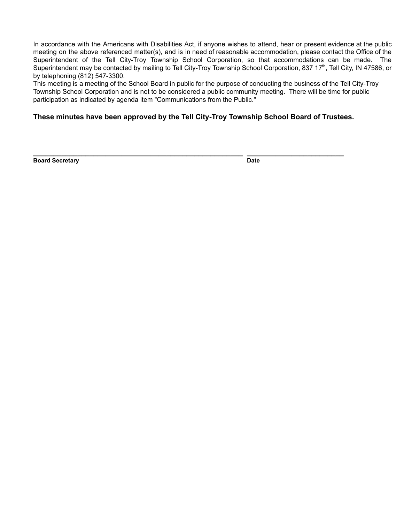In accordance with the Americans with Disabilities Act, if anyone wishes to attend, hear or present evidence at the public meeting on the above referenced matter(s), and is in need of reasonable accommodation, please contact the Office of the Superintendent of the Tell City-Troy Township School Corporation, so that accommodations can be made. The Superintendent may be contacted by mailing to Tell City-Troy Township School Corporation, 837 17<sup>th</sup>, Tell City, IN 47586, or by telephoning (812) 547-3300.

This meeting is a meeting of the School Board in public for the purpose of conducting the business of the Tell City-Troy Township School Corporation and is not to be considered a public community meeting. There will be time for public participation as indicated by agenda item "Communications from the Public."

**These minutes have been approved by the Tell City-Troy Township School Board of Trustees.**

**\_\_\_\_\_\_\_\_\_\_\_\_\_\_\_\_\_\_\_\_\_\_\_\_\_\_\_\_\_\_\_\_\_\_\_\_\_\_\_\_\_\_\_\_\_\_\_\_\_\_\_\_ \_\_\_\_\_\_\_\_\_\_\_\_\_\_\_\_\_\_\_\_\_\_\_\_**

**Board Secretary Date**